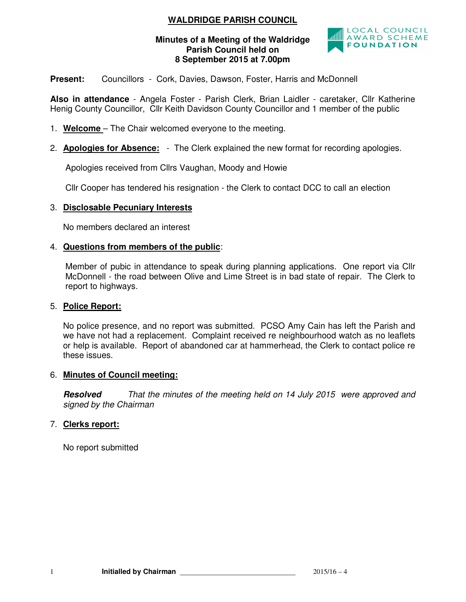# **WALDRIDGE PARISH COUNCIL**

# **Minutes of a Meeting of the Waldridge Parish Council held on 8 September 2015 at 7.00pm**



**Present:** Councillors - Cork, Davies, Dawson, Foster, Harris and McDonnell

**Also in attendance** - Angela Foster - Parish Clerk, Brian Laidler - caretaker, Cllr Katherine Henig County Councillor, Cllr Keith Davidson County Councillor and 1 member of the public

- 1. **Welcome**  The Chair welcomed everyone to the meeting.
- 2. **Apologies for Absence:** The Clerk explained the new format for recording apologies.

Apologies received from Cllrs Vaughan, Moody and Howie

Cllr Cooper has tendered his resignation - the Clerk to contact DCC to call an election

# 3. **Disclosable Pecuniary Interests**

No members declared an interest

# 4. **Questions from members of the public**:

Member of pubic in attendance to speak during planning applications. One report via Cllr McDonnell - the road between Olive and Lime Street is in bad state of repair. The Clerk to report to highways.

#### 5. **Police Report:**

No police presence, and no report was submitted. PCSO Amy Cain has left the Parish and we have not had a replacement. Complaint received re neighbourhood watch as no leaflets or help is available. Report of abandoned car at hammerhead, the Clerk to contact police re these issues.

# 6. **Minutes of Council meeting:**

**Resolved** *That the minutes of the meeting held on 14 July 2015 were approved and signed by the Chairman* 

# 7. **Clerks report:**

No report submitted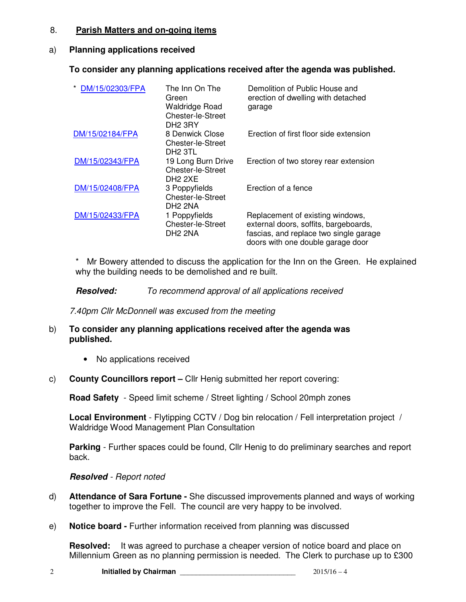# 8. **Parish Matters and on-going items**

# a) **Planning applications received**

# **To consider any planning applications received after the agenda was published.**

| *<br>DM/15/02303/FPA | The Inn On The<br>Green<br><b>Waldridge Road</b><br>Chester-le-Street              | Demolition of Public House and<br>erection of dwelling with detached<br>garage                                                                           |
|----------------------|------------------------------------------------------------------------------------|----------------------------------------------------------------------------------------------------------------------------------------------------------|
| DM/15/02184/FPA      | DH <sub>2</sub> 3RY<br>8 Denwick Close<br>Chester-le-Street<br>DH <sub>2</sub> 3TL | Erection of first floor side extension                                                                                                                   |
| DM/15/02343/FPA      | 19 Long Burn Drive<br>Chester-le-Street<br>DH <sub>2</sub> 2XE                     | Erection of two storey rear extension                                                                                                                    |
| DM/15/02408/FPA      | 3 Poppyfields<br>Chester-le-Street<br>DH <sub>2</sub> 2NA                          | Erection of a fence                                                                                                                                      |
| DM/15/02433/FPA      | 1 Poppyfields<br><b>Chester-le-Street</b><br>DH <sub>2</sub> 2NA                   | Replacement of existing windows,<br>external doors, soffits, bargeboards,<br>fascias, and replace two single garage<br>doors with one double garage door |

Mr Bowery attended to discuss the application for the Inn on the Green. He explained why the building needs to be demolished and re built.

**Resolved:** *To recommend approval of all applications received*

*7.40pm Cllr McDonnell was excused from the meeting* 

- b) **To consider any planning applications received after the agenda was published.** 
	- No applications received
- c) **County Councillors report** Cllr Henig submitted her report covering:

**Road Safety** - Speed limit scheme / Street lighting / School 20mph zones

**Local Environment** - Flytipping CCTV / Dog bin relocation / Fell interpretation project / Waldridge Wood Management Plan Consultation

**Parking** - Further spaces could be found, Cllr Henig to do preliminary searches and report back.

# **Resolved** *- Report noted*

- d) **Attendance of Sara Fortune** She discussed improvements planned and ways of working together to improve the Fell. The council are very happy to be involved.
- e) **Notice board** Further information received from planning was discussed

**Resolved:** It was agreed to purchase a cheaper version of notice board and place on Millennium Green as no planning permission is needed. The Clerk to purchase up to £300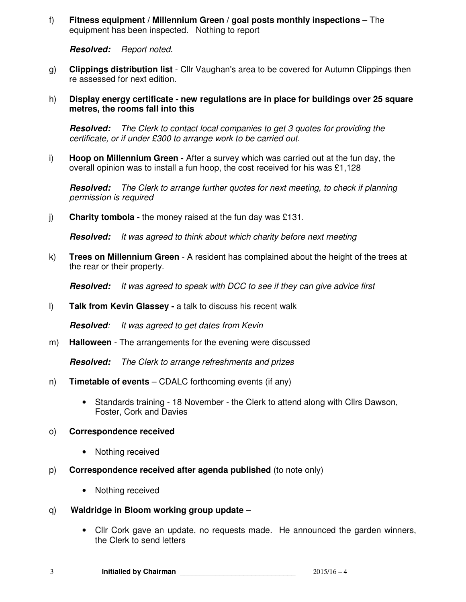f) **Fitness equipment / Millennium Green / goal posts monthly inspections –** The equipment has been inspected. Nothing to report

**Resolved:** *Report noted.* 

- g) **Clippings distribution list**  Cllr Vaughan's area to be covered for Autumn Clippings then re assessed for next edition.
- h) **Display energy certificate new regulations are in place for buildings over 25 square metres, the rooms fall into this**

**Resolved:** *The Clerk to contact local companies to get 3 quotes for providing the certificate, or if under £300 to arrange work to be carried out.* 

i) **Hoop on Millennium Green -** After a survey which was carried out at the fun day, the overall opinion was to install a fun hoop, the cost received for his was £1,128

**Resolved:** *The Clerk to arrange further quotes for next meeting, to check if planning permission is required* 

j) **Charity tombola -** the money raised at the fun day was £131.

**Resolved:** *It was agreed to think about which charity before next meeting* 

k) **Trees on Millennium Green** - A resident has complained about the height of the trees at the rear or their property.

**Resolved:** *It was agreed to speak with DCC to see if they can give advice first*

l) **Talk from Kevin Glassey -** a talk to discuss his recent walk

**Resolved***: It was agreed to get dates from Kevin* 

m) **Halloween** - The arrangements for the evening were discussed

**Resolved:** *The Clerk to arrange refreshments and prizes*

- n) **Timetable of events** CDALC forthcoming events (if any)
	- Standards training 18 November the Clerk to attend along with Cllrs Dawson, Foster, Cork and Davies

# o) **Correspondence received**

- Nothing received
- p) **Correspondence received after agenda published** (to note only)
	- Nothing received
- q) **Waldridge in Bloom working group update** 
	- Cllr Cork gave an update, no requests made. He announced the garden winners, the Clerk to send letters